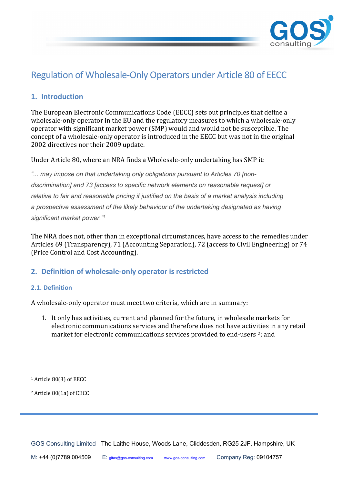

# Regulation of Wholesale-Only Operators under Article 80 of EECC

# **1. Introduction**

The European Electronic Communications Code (EECC) sets out principles that define a wholesale-only operator in the EU and the regulatory measures to which a wholesale-only operator with significant market power (SMP) would and would not be susceptible. The concept of a wholesale-only operator is introduced in the EECC but was not in the original 2002 directives nor their 2009 update.

Under Article 80, where an NRA finds a Wholesale-only undertaking has SMP it:

*"... may impose on that undertaking only obligations pursuant to Articles 70 [nondiscrimination] and 73 [access to specific network elements on reasonable request] or relative to fair and reasonable pricing if justified on the basis of a market analysis including a prospective assessment of the likely behaviour of the undertaking designated as having significant market power." [1](#page-0-0)* 

The NRA does not, other than in exceptional circumstances, have access to the remedies under Articles 69 (Transparency), 71 (Accounting Separation), 72 (access to Civil Engineering) or 74 (Price Control and Cost Accounting).

# **2. Definition of wholesale-only operator is restricted**

### **2.1. Definition**

A wholesale-only operator must meet two criteria, which are in summary:

1. It only has activities, current and planned for the future, in wholesale markets for electronic communications services and therefore does not have activities in any retail market for electronic communications services provided to end-users  $2$ ; and

<span id="page-0-1"></span><sup>2</sup> Article 80(1a) of EECC

<span id="page-0-0"></span><sup>1</sup> Article 80(3) of EECC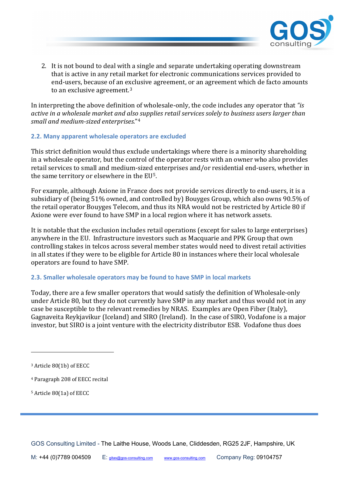

2. It is not bound to deal with a single and separate undertaking operating downstream that is active in any retail market for electronic communications services provided to end-users, because of an exclusive agreement, or an agreement which de facto amounts to an exclusive agreement.<sup>[3](#page-1-0)</sup>

In interpreting the above definition of wholesale-only, the code includes any operator that *"is active in a wholesale market and also supplies retail services solely to business users larger than small and medium-sized enterprises.*"[4](#page-1-1)

#### **2.2. Many apparent wholesale operators are excluded**

This strict definition would thus exclude undertakings where there is a minority shareholding in a wholesale operator, but the control of the operator rests with an owner who also provides retail services to small and medium-sized enterprises and/or residential end-users, whether in the same territory or elsewhere in the EU[5.](#page-1-2)

For example, although Axione in France does not provide services directly to end-users, it is a subsidiary of (being 51% owned, and controlled by) Bouyges Group, which also owns 90.5% of the retail operator Bouyges Telecom, and thus its NRA would not be restricted by Article 80 if Axione were ever found to have SMP in a local region where it has network assets.

It is notable that the exclusion includes retail operations (except for sales to large enterprises) anywhere in the EU. Infrastructure investors such as Macquarie and PPK Group that own controlling stakes in telcos across several member states would need to divest retail activities in all states if they were to be eligible for Article 80 in instances where their local wholesale operators are found to have SMP.

### **2.3. Smaller wholesale operators may be found to have SMP in local markets**

Today, there are a few smaller operators that would satisfy the definition of Wholesale-only under Article 80, but they do not currently have SMP in any market and thus would not in any case be susceptible to the relevant remedies by NRAS. Examples are Open Fiber (Italy), Gagnaveita Reykjavikur (Iceland) and SIRO (Ireland). In the case of SIRO, Vodafone is a major investor, but SIRO is a joint venture with the electricity distributor ESB. Vodafone thus does

<span id="page-1-0"></span><sup>3</sup> Article 80(1b) of EECC

<span id="page-1-1"></span><sup>4</sup> Paragraph 208 of EECC recital

<span id="page-1-2"></span><sup>5</sup> Article 80(1a) of EECC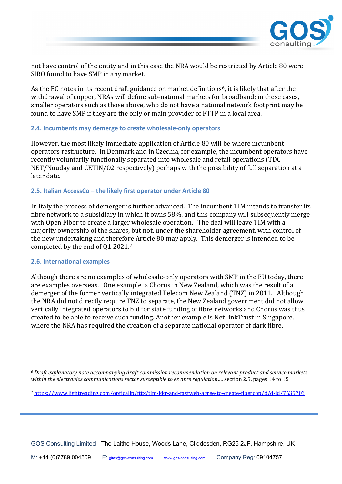

not have control of the entity and in this case the NRA would be restricted by Article 80 were SIRO found to have SMP in any market.

As the EC notes in its recent draft guidance on market definitions<sup> $6$ </sup>, it is likely that after the withdrawal of copper, NRAs will define sub-national markets for broadband; in these cases, smaller operators such as those above, who do not have a national network footprint may be found to have SMP if they are the only or main provider of FTTP in a local area.

#### **2.4. Incumbents may demerge to create wholesale-only operators**

However, the most likely immediate application of Article 80 will be where incumbent operators restructure. In Denmark and in Czechia, for example, the incumbent operators have recently voluntarily functionally separated into wholesale and retail operations (TDC NET/Nuuday and CETIN/O2 respectively) perhaps with the possibility of full separation at a later date.

#### **2.5. Italian AccessCo – the likely first operator under Article 80**

In Italy the process of demerger is further advanced. The incumbent TIM intends to transfer its fibre network to a subsidiary in which it owns 58%, and this company will subsequently merge with Open Fiber to create a larger wholesale operation. The deal will leave TIM with a majority ownership of the shares, but not, under the shareholder agreement, with control of the new undertaking and therefore Article 80 may apply. This demerger is intended to be completed by the end of Q1 2021.[7](#page-2-1)

#### **2.6. International examples**

Although there are no examples of wholesale-only operators with SMP in the EU today, there are examples overseas. One example is Chorus in New Zealand, which was the result of a demerger of the former vertically integrated Telecom New Zealand (TNZ) in 2011. Although the NRA did not directly require TNZ to separate, the New Zealand government did not allow vertically integrated operators to bid for state funding of fibre networks and Chorus was thus created to be able to receive such funding. Another example is NetLinkTrust in Singapore, where the NRA has required the creation of a separate national operator of dark fibre.

<span id="page-2-0"></span><sup>6</sup> *Draft explanatory note accompanying draft commission recommendation on relevant product and service markets within the electronics communications sector susceptible to ex ante regulation*…, section 2.5, pages 14 to 15

<span id="page-2-1"></span><sup>7</sup> <https://www.lightreading.com/opticalip/fttx/tim-kkr-and-fastweb-agree-to-create-fibercop/d/d-id/763570?>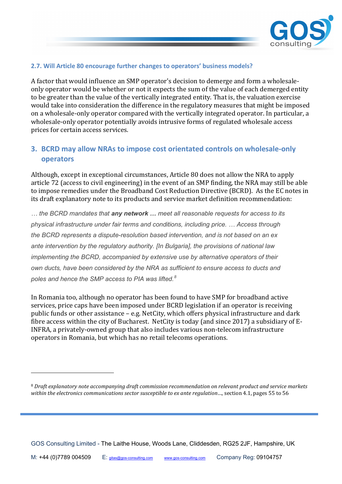

### **2.7. Will Article 80 encourage further changes to operators' business models?**

A factor that would influence an SMP operator's decision to demerge and form a wholesaleonly operator would be whether or not it expects the sum of the value of each demerged entity to be greater than the value of the vertically integrated entity. That is, the valuation exercise would take into consideration the difference in the regulatory measures that might be imposed on a wholesale-only operator compared with the vertically integrated operator. In particular, a wholesale-only operator potentially avoids intrusive forms of regulated wholesale access prices for certain access services.

# **3. BCRD may allow NRAs to impose cost orientated controls on wholesale-only operators**

Although, except in exceptional circumstances, Article 80 does not allow the NRA to apply article 72 (access to civil engineering) in the event of an SMP finding, the NRA may still be able to impose remedies under the Broadband Cost Reduction Directive (BCRD). As the EC notes in its draft explanatory note to its products and service market definition recommendation:

*… the BCRD mandates that any network … meet all reasonable requests for access to its physical infrastructure under fair terms and conditions, including price. … Access through the BCRD represents a dispute-resolution based intervention, and is not based on an ex ante intervention by the regulatory authority. [In Bulgaria], the provisions of national law implementing the BCRD, accompanied by extensive use by alternative operators of their own ducts, have been considered by the NRA as sufficient to ensure access to ducts and poles and hence the SMP access to PIA was lifted. [8](#page-3-0)*

In Romania too, although no operator has been found to have SMP for broadband active services, price caps have been imposed under BCRD legislation if an operator is receiving public funds or other assistance – e.g. NetCity, which offers physical infrastructure and dark fibre access within the city of Bucharest. NetCity is today (and since 2017) a subsidiary of E-INFRA, a privately-owned group that also includes various non-telecom infrastructure operators in Romania, but which has no retail telecoms operations.

<span id="page-3-0"></span><sup>8</sup> *Draft explanatory note accompanying draft commission recommendation on relevant product and service markets within the electronics communications sector susceptible to ex ante regulation*…, section 4.1, pages 55 to 56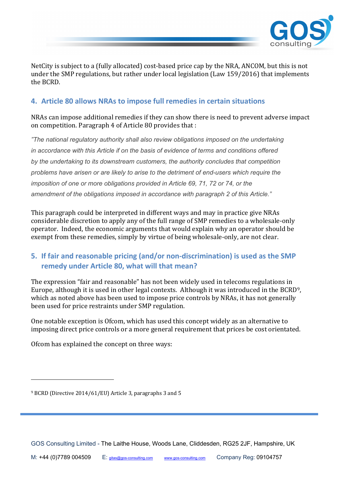

NetCity is subject to a (fully allocated) cost-based price cap by the NRA, ANCOM, but this is not under the SMP regulations, but rather under local legislation (Law 159/2016) that implements the BCRD.

# **4. Article 80 allows NRAs to impose full remedies in certain situations**

NRAs can impose additional remedies if they can show there is need to prevent adverse impact on competition. Paragraph 4 of Article 80 provides that :

*"The national regulatory authority shall also review obligations imposed on the undertaking in accordance with this Article if on the basis of evidence of terms and conditions offered by the undertaking to its downstream customers, the authority concludes that competition problems have arisen or are likely to arise to the detriment of end-users which require the imposition of one or more obligations provided in Article 69, 71, 72 or 74, or the amendment of the obligations imposed in accordance with paragraph 2 of this Article."*

This paragraph could be interpreted in different ways and may in practice give NRAs considerable discretion to apply any of the full range of SMP remedies to a wholesale-only operator. Indeed, the economic arguments that would explain why an operator should be exempt from these remedies, simply by virtue of being wholesale-only, are not clear.

# **5. If fair and reasonable pricing (and/or non-discrimination) is used as the SMP remedy under Article 80, what will that mean?**

The expression "fair and reasonable" has not been widely used in telecoms regulations in Europe, although it is used in other legal contexts. Although it was introduced in the BCRD[9,](#page-4-0) which as noted above has been used to impose price controls by NRAs, it has not generally been used for price restraints under SMP regulation.

One notable exception is Ofcom, which has used this concept widely as an alternative to imposing direct price controls or a more general requirement that prices be cost orientated.

Ofcom has explained the concept on three ways:

<span id="page-4-0"></span><sup>9</sup> BCRD (Directive 2014/61/EU) Article 3, paragraphs 3 and 5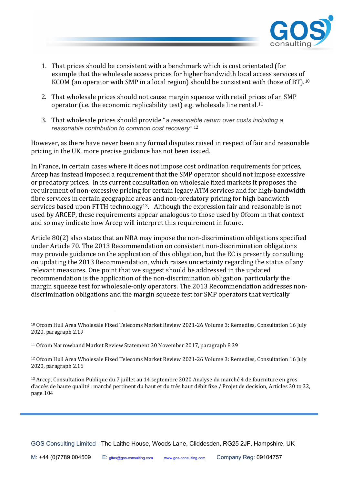

- 1. That prices should be consistent with a benchmark which is cost orientated (for example that the wholesale access prices for higher bandwidth local access services of KCOM (an operator with SMP in a local region) should be consistent with those of BT).<sup>[10](#page-5-0)</sup>
- 2. That wholesale prices should not cause margin squeeze with retail prices of an SMP operator (i.e. the economic replicability test) e.g. wholesale line rental.<sup>[11](#page-5-1)</sup>
- 3. That wholesale prices should provide "*a reasonable return over costs including a reasonable contribution to common cost recovery"* [12](#page-5-2)

However, as there have never been any formal disputes raised in respect of fair and reasonable pricing in the UK, more precise guidance has not been issued.

In France, in certain cases where it does not impose cost ordination requirements for prices, Arcep has instead imposed a requirement that the SMP operator should not impose excessive or predatory prices. In its current consultation on wholesale fixed markets it proposes the requirement of non-excessive pricing for certain legacy ATM services and for high-bandwidth fibre services in certain geographic areas and non-predatory pricing for high bandwidth services based upon FTTH technology<sup>13</sup>. Although the expression fair and reasonable is not used by ARCEP, these requirements appear analogous to those used by Ofcom in that context and so may indicate how Arcep will interpret this requirement in future.

Article 80(2) also states that an NRA may impose the non-discrimination obligations specified under Article 70. The 2013 Recommendation on consistent non-discrimination obligations may provide guidance on the application of this obligation, but the EC is presently consulting on updating the 2013 Recommendation, which raises uncertainty regarding the status of any relevant measures. One point that we suggest should be addressed in the updated recommendation is the application of the non-discrimination obligation, particularly the margin squeeze test for wholesale-only operators. The 2013 Recommendation addresses nondiscrimination obligations and the margin squeeze test for SMP operators that vertically

<span id="page-5-0"></span><sup>10</sup> Ofcom Hull Area Wholesale Fixed Telecoms Market Review 2021-26 Volume 3: Remedies, Consultation 16 July 2020, paragraph 2.19

<span id="page-5-1"></span><sup>11</sup> Ofcom Narrowband Market Review Statement 30 November 2017, paragraph 8.39

<span id="page-5-2"></span><sup>12</sup> Ofcom Hull Area Wholesale Fixed Telecoms Market Review 2021-26 Volume 3: Remedies, Consultation 16 July 2020, paragraph 2.16

<span id="page-5-3"></span><sup>&</sup>lt;sup>13</sup> Arcep, Consultation Publique du 7 juillet au 14 septembre 2020 Analyse du marché 4 de fourniture en gros d'accès de haute qualité: marché pertinent du haut et du très haut débit fixe / Projet de decision, Articles 30 to 32, page 104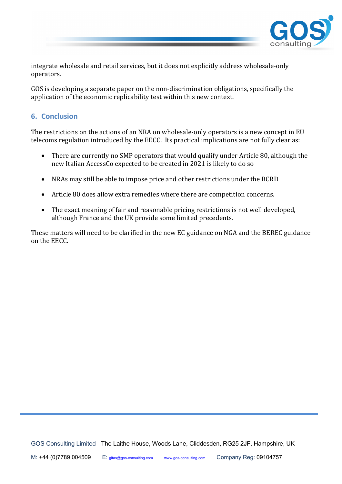

integrate wholesale and retail services, but it does not explicitly address wholesale-only operators.

GOS is developing a separate paper on the non-discrimination obligations, specifically the application of the economic replicability test within this new context.

# **6. Conclusion**

The restrictions on the actions of an NRA on wholesale-only operators is a new concept in EU telecoms regulation introduced by the EECC. Its practical implications are not fully clear as:

- There are currently no SMP operators that would qualify under Article 80, although the new Italian AccessCo expected to be created in 2021 is likely to do so
- NRAs may still be able to impose price and other restrictions under the BCRD
- Article 80 does allow extra remedies where there are competition concerns.
- The exact meaning of fair and reasonable pricing restrictions is not well developed, although France and the UK provide some limited precedents.

These matters will need to be clarified in the new EC guidance on NGA and the BEREC guidance on the EECC.